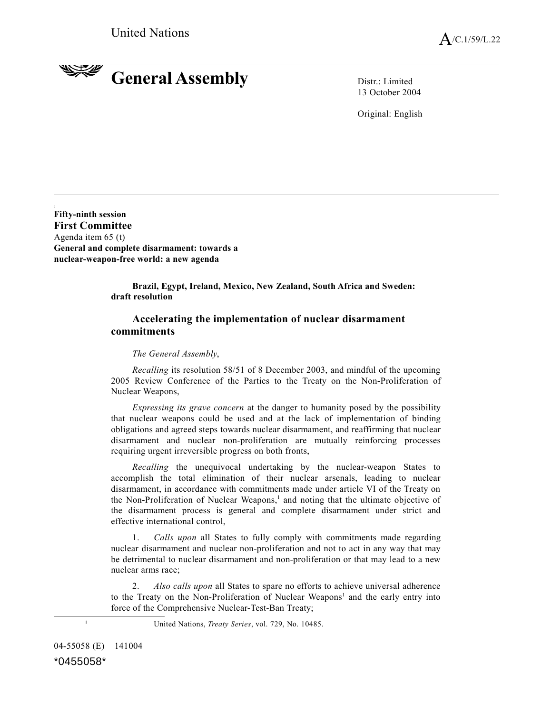## **RANGERY General Assembly** Distr.: Limited

13 October 2004

Original: English

**Fifty-ninth session First Committee** Agenda item 65 (t) **General and complete disarmament: towards a nuclear-weapon-free world: a new agenda**

> **Brazil, Egypt, Ireland, Mexico, New Zealand, South Africa and Sweden: draft resolution**

## **Accelerating the implementation of nuclear disarmament commitments**

## *The General Assembly*,

*Recalling* its resolution 58/51 of 8 December 2003, and mindful of the upcoming 2005 Review Conference of the Parties to the Treaty on the Non-Proliferation of Nuclear Weapons,

*Expressing its grave concern* at the danger to humanity posed by the possibility that nuclear weapons could be used and at the lack of implementation of binding obligations and agreed steps towards nuclear disarmament, and reaffirming that nuclear disarmament and nuclear non-proliferation are mutually reinforcing processes requiring urgent irreversible progress on both fronts,

*Recalling* the unequivocal undertaking by the nuclear-weapon States to accomplish the total elimination of their nuclear arsenals, leading to nuclear disarmament, in accordance with commitments made under article VI of the Treaty on the Non-Proliferation of Nuclear Weapons, 1 and noting that the ultimate objective of the disarmament process is general and complete disarmament under strict and effective international control,

1. *Calls upon* all States to fully comply with commitments made regarding nuclear disarmament and nuclear non-proliferation and not to act in any way that may be detrimental to nuclear disarmament and non-proliferation or that may lead to a new nuclear arms race;

2. *Also calls upon* all States to spare no efforts to achieve universal adherence to the Treaty on the Non-Proliferation of Nuclear Weapons<sup>1</sup> and the early entry into force of the Comprehensive Nuclear-Test-Ban Treaty;

<sup>1</sup> United Nations, *Treaty Series*, vol. 729, No. 10485.

04-55058 (E) 141004

\*0455058\*